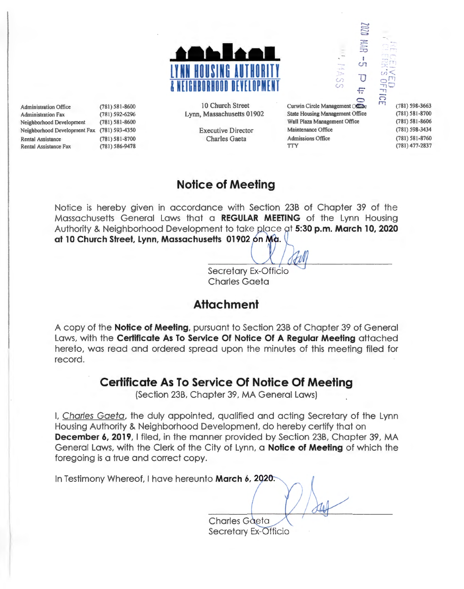

Administration Office (781) 581-8600 Administration Fax (781) 592-6296 Neighborhood Development (781) 581-8600 Neighborhood Development Fax (781) 593-4350 Rental Assistance (781) 581-8700 Rental Assistance Fax (781) 586-9478

10 Church Street Lynn, Massachusetts 01902

> Executive Director Charles Gaeta

Curwin Circle Management Office State Housing Management Office Wall Plaza Management Office Maintenance Office Admissions Office **TTY** 

......  $\Xi$ c:a  $:5:$ ~~~~~~ ::0  $\frac{1}{\sqrt{2}}$ 

*(f)* u  $\circ$ 

F.

(781) 598-3663 (78 1) 581 -8700 (781) 581-8606 (781) 598-3434 (781) 581 -8760 (781) 477-2837

# **Notice of Meeting**

Notice is hereby given in accordance with Section 23B of Chapter 39 of the Massachusetts General Laws that a **REGULAR MEETING** of the Lynn Housing Authority & Neighborhood Development to take place at **5:30 p.m. March 10, 2020** at 10 Church Street, Lynn, Massachusetts 01902 on Ma.

> Secretary Ex-Officio Charles Gaeta

## **Attachment**

A copy of the **Notice of Meeting,** pursuant to Section 23B of Chapter 39 of General Laws, with the **Certificate As To Service Of Notice Of A Regular Meeting** attached hereto, was read and ordered spread upon the minutes of this meeting filed for record.

## **Certificate As To Service Of Notice Of Meeting**

(Section 23B, Chapter 39, MA General Laws)

I, Charles Gaeta, the duly appointed, qualified and acting Secretary of the Lynn Housing Authority & Neighborhood Development, do hereby certify that on **December 6, 2019, I filed, in the manner provided by Section 23B, Chapter 39, MA** General Laws, with the Clerk of the City of Lynn, a **Notice of Meeting** of which the foregoing is a true and correct copy.

In Testimony Whereof, I have hereunto March 6, 2020. **Charles Gaeta** 

Secretary Ex-Officio